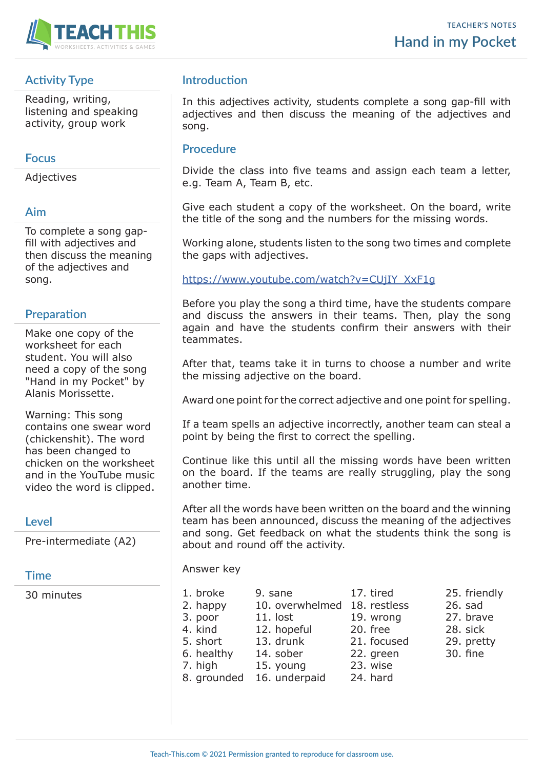

# **Activity Type**

Reading, writing, listening and speaking activity, group work

## **Focus**

Adjectives

## **Aim**

To complete a song gapfill with adjectives and then discuss the meaning of the adjectives and song.

# **Preparation**

Make one copy of the worksheet for each student. You will also need a copy of the song "Hand in my Pocket" by Alanis Morissette.

Warning: This song contains one swear word (chickenshit). The word has been changed to chicken on the worksheet and in the YouTube music video the word is clipped.

# **Level**

Pre-intermediate (A2)

### **Time**

30 minutes

# **Introduction**

In this adjectives activity, students complete a song gap-fill with adjectives and then discuss the meaning of the adjectives and song.

# **Procedure**

Divide the class into five teams and assign each team a letter, e.g. Team A, Team B, etc.

Give each student a copy of the worksheet. On the board, write the title of the song and the numbers for the missing words.

Working alone, students listen to the song two times and complete the gaps with adjectives.

### https://www.youtube.com/watch?v=CUjIY\_XxF1g

Before you play the song a third time, have the students compare and discuss the answers in their teams. Then, play the song again and have the students confirm their answers with their teammates.

After that, teams take it in turns to choose a number and write the missing adjective on the board.

Award one point for the correct adjective and one point for spelling.

If a team spells an adjective incorrectly, another team can steal a point by being the first to correct the spelling.

Continue like this until all the missing words have been written on the board. If the teams are really struggling, play the song another time.

After all the words have been written on the board and the winning team has been announced, discuss the meaning of the adjectives and song. Get feedback on what the students think the song is about and round off the activity.

#### Answer key

1. broke 9. sane 17. tired 25. friendly 2. happy 10. overwhelmed 18. restless 26. sad 3. poor 11. lost 19. wrong 27. brave 4. kind 12. hopeful 20. free 28. sick 5. short 13. drunk 21. focused 29. pretty 6. healthy 14. sober 22. green 30. fine 7. high 15. young 23. wise 8. grounded 16. underpaid 24. hard